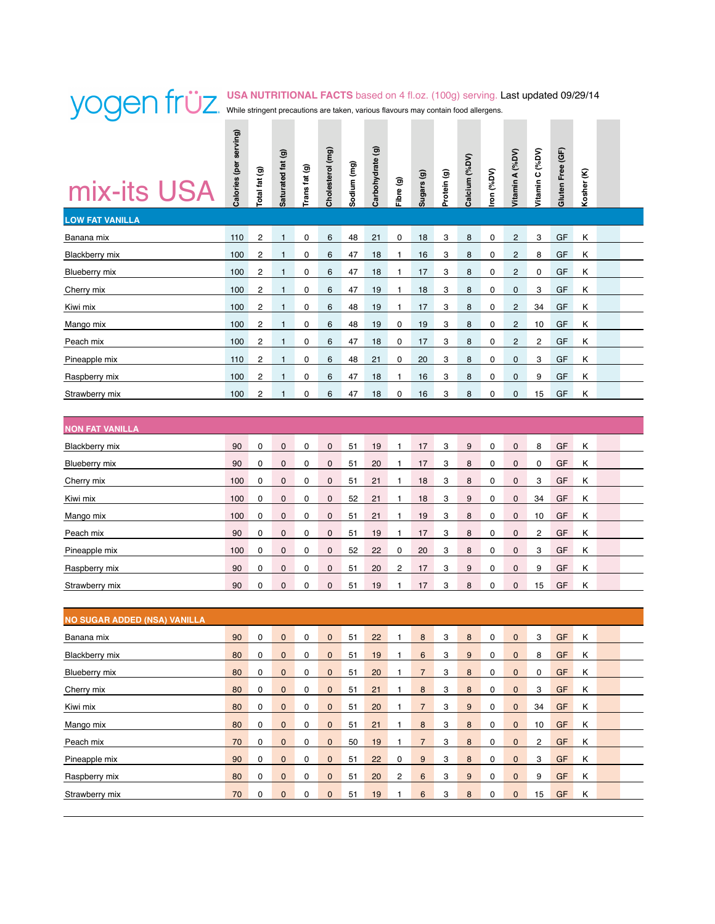# **USA NUTRITIONAL FACTS** based on 4 fl.oz. (100g) serving. Last updated 09/29/14 While stringent precautions are taken, various flavours may contain food allergens.

| mix-its USA                         | Calories (per serving) | Total fat (g)           | Saturated fat (g) | Trans fat (g) | Cholesterol (mg) | Sodium (mg) | Carbohydrate (g) | Fibre (g)    | Sugars (g)       | Protein (g) | Calcium (%DV)    | ron (%DV)   | Vitamin A (%DV)         | Vitamin C (%DV) | Gluten Free (GF) | Kosher (K) |  |
|-------------------------------------|------------------------|-------------------------|-------------------|---------------|------------------|-------------|------------------|--------------|------------------|-------------|------------------|-------------|-------------------------|-----------------|------------------|------------|--|
| <b>LOW FAT VANILLA</b>              |                        |                         |                   |               |                  |             |                  |              |                  |             |                  |             |                         |                 |                  |            |  |
| Banana mix                          | 110                    | $\overline{\mathbf{c}}$ | $\mathbf{1}$      | 0             | 6                | 48          | 21               | 0            | 18               | 3           | 8                | 0           | $\overline{c}$          | 3               | GF               | κ          |  |
| <b>Blackberry mix</b>               | 100                    | 2                       | 1                 | 0             | 6                | 47          | 18               | 1            | 16               | 3           | 8                | 0           | $\overline{c}$          | 8               | GF               | κ          |  |
| Blueberry mix                       | 100                    | $\overline{c}$          | $\mathbf{1}$      | 0             | 6                | 47          | 18               | $\mathbf{1}$ | 17               | 3           | 8                | 0           | $\sqrt{2}$              | 0               | GF               | Κ          |  |
| Cherry mix                          | 100                    | 2                       | 1                 | 0             | 6                | 47          | 19               | 1            | 18               | 3           | 8                | 0           | 0                       | 3               | GF               | κ          |  |
| Kiwi mix                            | 100                    | 2                       | 1                 | 0             | 6                | 48          | 19               | 1            | 17               | 3           | 8                | 0           | $\overline{c}$          | 34              | GF               | κ          |  |
| Mango mix                           | 100                    | 2                       | 1                 | 0             | 6                | 48          | 19               | 0            | 19               | 3           | 8                | 0           | $\overline{\mathbf{c}}$ | 10              | GF               | Κ          |  |
| Peach mix                           | 100                    | $\overline{c}$          | $\mathbf{1}$      | 0             | 6                | 47          | 18               | 0            | 17               | 3           | 8                | $\mathbf 0$ | $\overline{c}$          | $\overline{c}$  | GF               | Κ          |  |
| Pineapple mix                       | 110                    | 2                       | 1                 | 0             | 6                | 48          | 21               | 0            | 20               | 3           | 8                | 0           | 0                       | 3               | GF               | κ          |  |
| Raspberry mix                       | 100                    | 2                       | 1                 | 0             | 6                | 47          | 18               | 1            | 16               | 3           | 8                | 0           | 0                       | 9               | GF               | Κ          |  |
| Strawberry mix                      | 100                    | $\overline{c}$          | 1                 | 0             | 6                | 47          | 18               | 0            | 16               | 3           | 8                | 0           | $\mathbf 0$             | 15              | GF               | Κ          |  |
|                                     |                        |                         |                   |               |                  |             |                  |              |                  |             |                  |             |                         |                 |                  |            |  |
| <b>NON FAT VANILLA</b>              |                        |                         |                   |               |                  |             |                  |              |                  |             |                  |             |                         |                 |                  |            |  |
| <b>Blackberry mix</b>               | 90                     | 0                       | $\mathbf 0$       | 0             | $\mathbf 0$      | 51          | 19               | 1            | 17               | 3           | 9                | 0           | $\mathbf 0$             | 8               | GF               | Κ          |  |
| Blueberry mix                       | 90                     | 0                       | 0                 | 0             | 0                | 51          | 20               | 1            | 17               | 3           | 8                | 0           | $\mathbf 0$             | 0               | GF               | κ          |  |
| Cherry mix                          | 100                    | 0                       | $\mathbf 0$       | 0             | $\mathbf 0$      | 51          | 21               | $\mathbf{1}$ | 18               | 3           | 8                | 0           | $\mathbf 0$             | 3               | GF               | Κ          |  |
| Kiwi mix                            | 100                    | 0                       | 0                 | 0             | 0                | 52          | 21               | 1            | 18               | 3           | $9\,$            | 0           | $\mathbf 0$             | 34              | GF               | κ          |  |
| Mango mix                           | 100                    | 0                       | $\pmb{0}$         | 0             | $\mathbf 0$      | 51          | 21               | 1            | 19               | 3           | 8                | 0           | $\mathbf 0$             | 10              | GF               | Κ          |  |
| Peach mix                           | 90                     | 0                       | 0                 | 0             | 0                | 51          | 19               | 1            | 17               | 3           | 8                | 0           | $\mathbf 0$             | 2               | GF               | κ          |  |
| Pineapple mix                       | 100                    | 0                       | $\pmb{0}$         | 0             | $\pmb{0}$        | 52          | 22               | 0            | 20               | 3           | 8                | 0           | $\mathbf 0$             | 3               | GF               | Κ          |  |
| Raspberry mix                       | 90                     | 0                       | 0                 | 0             | 0                | 51          | 20               | 2            | 17               | 3           | 9                | 0           | $\mathbf 0$             | 9               | GF               | Κ          |  |
| Strawberry mix                      | 90                     | 0                       | 0                 | 0             | $\mathbf 0$      | 51          | 19               | 1            | 17               | 3           | 8                | 0           | $\mathbf 0$             | 15              | GF               | Κ          |  |
|                                     |                        |                         |                   |               |                  |             |                  |              |                  |             |                  |             |                         |                 |                  |            |  |
| <b>NO SUGAR ADDED (NSA) VANILLA</b> |                        |                         |                   |               |                  |             |                  |              |                  |             |                  |             |                         |                 |                  |            |  |
| Banana mix                          | 90                     | 0                       | 0                 | 0             | 0                | 51          | 22               | 1            | 8                | 3           | 8                | 0           | $\mathbf 0$             | 3               | GF               | κ          |  |
| <b>Blackberry mix</b>               | 80                     | 0                       | $\pmb{0}$         | 0             | $\pmb{0}$        | 51          | 19               | 1            | 6                | 3           | $\boldsymbol{9}$ | $\pmb{0}$   | $\pmb{0}$               | 8               | GF               | Κ          |  |
| Blueberry mix                       | 80                     | 0                       | $\pmb{0}$         | 0             | $\pmb{0}$        | 51          | 20               | 1            | $\overline{7}$   | 3           | $\bf8$           | 0           | $\pmb{0}$               | 0               | GF               | Κ          |  |
| Cherry mix                          | 80                     | 0                       | $\pmb{0}$         | 0             | $\pmb{0}$        | 51          | 21               | 1            | $\bf8$           | 3           | $\bf 8$          | 0           | $\mathbf 0$             | 3               | GF               | Κ          |  |
| Kiwi mix                            | 80                     | 0                       | $\pmb{0}$         | 0             | $\pmb{0}$        | 51          | 20               | 1            | $\overline{7}$   | 3           | $\boldsymbol{9}$ | 0           | $\mathbf 0$             | 34              | GF               | Κ          |  |
| Mango mix                           | 80                     | 0                       | $\pmb{0}$         | 0             | $\pmb{0}$        | 51          | 21               | 1            | 8                | 3           | 8                | 0           | $\mathbf 0$             | 10              | GF               | Κ          |  |
| Peach mix                           | 70                     | 0                       | $\pmb{0}$         | 0             | $\pmb{0}$        | 50          | 19               | 1            | $\overline{7}$   | 3           | 8                | 0           | $\mathbf 0$             | $\overline{c}$  | GF               | Κ          |  |
| Pineapple mix                       | 90                     | 0                       | $\pmb{0}$         | 0             | $\pmb{0}$        | 51          | 22               | 0            | $\boldsymbol{9}$ | 3           | 8                | 0           | $\pmb{0}$               | 3               | GF               | Κ          |  |
| Raspberry mix                       | 80                     | 0                       | $\pmb{0}$         | 0             | $\pmb{0}$        | 51          | 20               | 2            | $\boldsymbol{6}$ | 3           | $\boldsymbol{9}$ | 0           | $\mathbf 0$             | 9               | GF               | Κ          |  |
| Strawberry mix                      | $70\,$                 | 0                       | $\pmb{0}$         | 0             | $\pmb{0}$        | 51          | 19               | 1            | $\,6\,$          | 3           | $\bf8$           | 0           | $\mathbf 0$             | 15              | GF               | Κ          |  |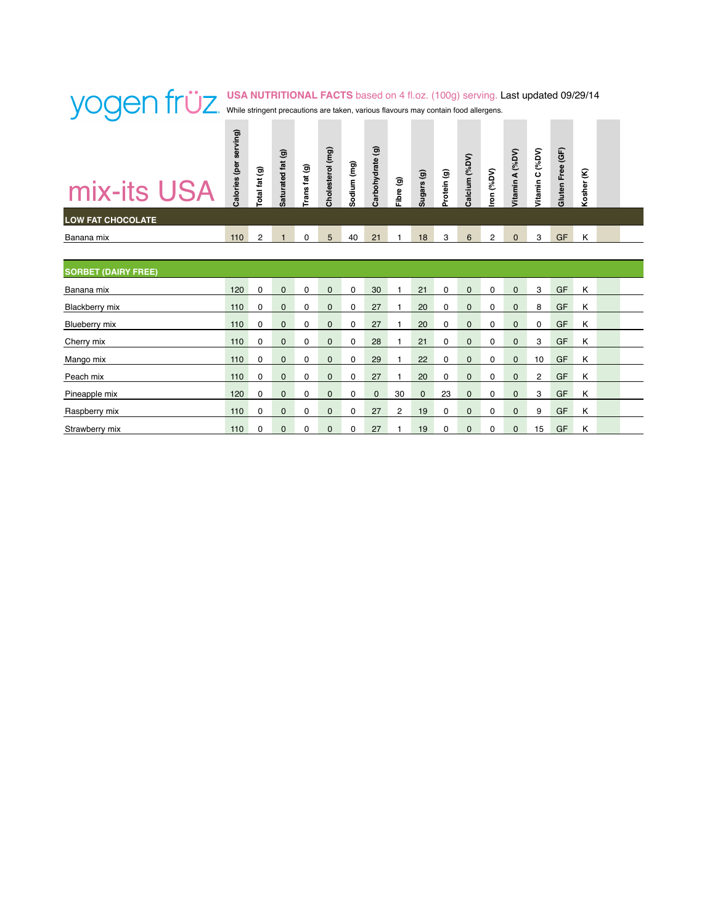| mix-its USA                | Calories (per serving) | Total fat (g) | Saturated fat (g) | Trans fat (g) | Cholesterol (mg) | Sodium (mg) | Carbohydrate (g) | Fibre (g) | Sugars (g)   | Protein (g) | Calcium (%DV) | Iron (%DV)  | Vitamin A (%DV) | (VdS)<br>Vitamin C | Gluten Free (GF) | ε<br>Kosher |  |
|----------------------------|------------------------|---------------|-------------------|---------------|------------------|-------------|------------------|-----------|--------------|-------------|---------------|-------------|-----------------|--------------------|------------------|-------------|--|
| <b>LOW FAT CHOCOLATE</b>   |                        |               |                   |               |                  |             |                  |           |              |             |               |             |                 |                    |                  |             |  |
| Banana mix                 | 110                    | 2             | $\mathbf{1}$      | 0             | 5                | 40          | 21               | 1         | 18           | 3           | 6             | 2           | $\Omega$        | 3                  | GF               | Κ           |  |
|                            |                        |               |                   |               |                  |             |                  |           |              |             |               |             |                 |                    |                  |             |  |
| <b>SORBET (DAIRY FREE)</b> |                        |               |                   |               |                  |             |                  |           |              |             |               |             |                 |                    |                  |             |  |
| Banana mix                 | 120                    | 0             | $\mathbf{0}$      | 0             | $\mathbf{0}$     | 0           | 30               | 1         | 21           | 0           | $\mathbf{0}$  | $\mathbf 0$ | $\mathbf{0}$    | 3                  | GF               | Κ           |  |
| <b>Blackberry mix</b>      | 110                    | 0             | $\mathbf 0$       | 0             | $\mathbf 0$      | 0           | 27               | 1         | 20           | 0           | $\mathbf 0$   | 0           | $\mathbf 0$     | 8                  | GF               | Κ           |  |
| Blueberry mix              | 110                    | 0             | $\mathbf{0}$      | 0             | $\mathbf 0$      | 0           | 27               | 1         | 20           | 0           | $\mathbf{0}$  | $\mathbf 0$ | $\mathbf{0}$    | 0                  | GF               | Κ           |  |
| Cherry mix                 | 110                    | 0             | $\mathbf{0}$      | 0             | $\mathbf{0}$     | 0           | 28               | 1         | 21           | 0           | $\mathbf{0}$  | 0           | $\mathbf{0}$    | 3                  | GF               | Κ           |  |
| Mango mix                  | 110                    | 0             | $\mathbf{0}$      | 0             | $\mathbf{0}$     | 0           | 29               | 1         | 22           | 0           | $\mathbf{0}$  | $\mathbf 0$ | $\mathbf{0}$    | 10                 | GF               | Κ           |  |
| Peach mix                  | 110                    | 0             | $\mathbf{0}$      | 0             | $\mathbf{0}$     | 0           | 27               | 1         | 20           | 0           | $\mathbf{0}$  | 0           | $\mathbf 0$     | $\overline{2}$     | GF               | Κ           |  |
| Pineapple mix              | 120                    | 0             | $\mathbf{0}$      | 0             | $\mathbf{0}$     | 0           | $\mathbf{0}$     | 30        | $\mathbf{0}$ | 23          | $\mathbf{0}$  | 0           | $\mathbf 0$     | 3                  | GF               | Κ           |  |
| Raspberry mix              | 110                    | 0             | $\mathbf{0}$      | 0             | $\mathbf{0}$     | 0           | 27               | 2         | 19           | 0           | $\mathbf{0}$  | 0           | $\mathbf{0}$    | 9                  | GF               | κ           |  |
| Strawberry mix             | 110                    | 0             | $\mathbf{0}$      | 0             | $\mathbf{0}$     | 0           | 27               | 1         | 19           | 0           | $\mathbf 0$   | 0           | $\mathbf 0$     | 15                 | GF               | Κ           |  |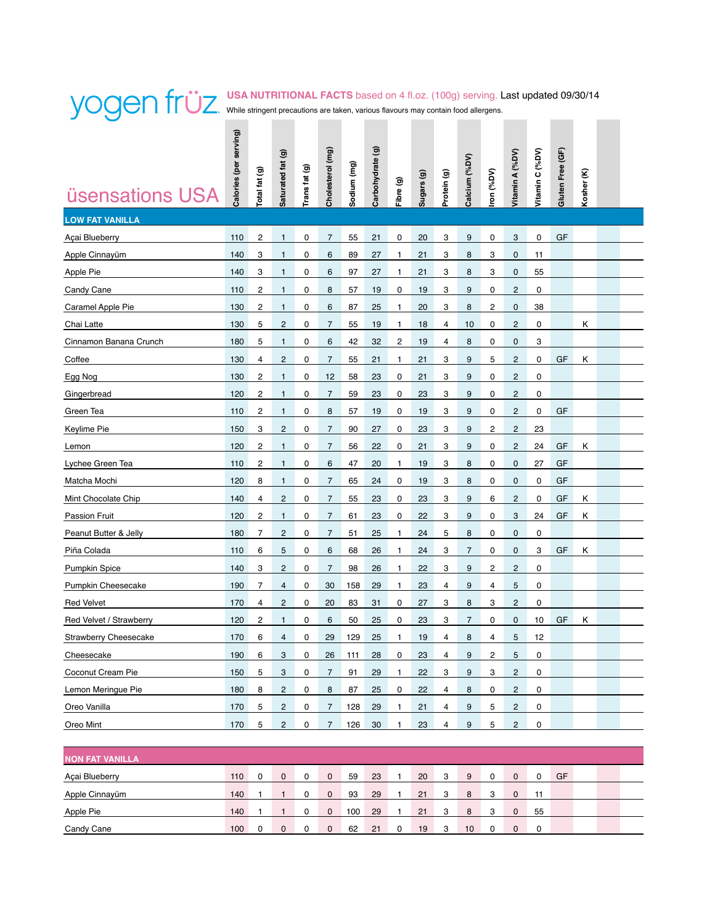#### **USA NUTRITIONAL FACTS** based on 4 fl.oz. (100g) serving. Last updated 09/30/14 While stringent precautions are taken, various flavours may contain food allergens. **Contract Contract**

|                         | Calories (per serving) | Total fat (g)  | Saturated fat (g) | Trans fat (g) | Cholesterol (mg) | Sodium (mg) | $\widehat{\mathbf{G}}$<br>Carbohydrate |           | Sugars (g) | Protein (g) | Calcium (%DV)  | ron (%DV) | Vitamin A (%DV)         | Vitamin C (%DV) | Gluten Free (GF) | Kosher (K) |  |
|-------------------------|------------------------|----------------|-------------------|---------------|------------------|-------------|----------------------------------------|-----------|------------|-------------|----------------|-----------|-------------------------|-----------------|------------------|------------|--|
| <b>üsensations USA</b>  |                        |                |                   |               |                  |             |                                        | Fibre (g) |            |             |                |           |                         |                 |                  |            |  |
| <b>LOW FAT VANILLA</b>  |                        |                |                   |               |                  |             |                                        |           |            |             |                |           |                         |                 |                  |            |  |
| Açai Blueberry          | 110                    | 2              | $\mathbf{1}$      | 0             | $\overline{7}$   | 55          | 21                                     | 0         | 20         | 3           | 9              | 0         | 3                       | 0               | GF               |            |  |
| Apple Cinnayüm          | 140                    | 3              | 1                 | 0             | 6                | 89          | 27                                     | 1         | 21         | 3           | 8              | 3         | 0                       | 11              |                  |            |  |
| Apple Pie               | 140                    | 3              | 1                 | 0             | 6                | 97          | 27                                     | 1         | 21         | 3           | 8              | 3         | 0                       | 55              |                  |            |  |
| Candy Cane              | 110                    | 2              | 1                 | 0             | 8                | 57          | 19                                     | 0         | 19         | 3           | 9              | 0         | $\overline{c}$          | 0               |                  |            |  |
| Caramel Apple Pie       | 130                    | 2              | 1                 | 0             | 6                | 87          | 25                                     | 1         | 20         | 3           | 8              | 2         | 0                       | 38              |                  |            |  |
| Chai Latte              | 130                    | 5              | $\overline{c}$    | 0             | $\overline{7}$   | 55          | 19                                     | 1         | 18         | 4           | 10             | 0         | $\overline{c}$          | 0               |                  | Κ          |  |
| Cinnamon Banana Crunch  | 180                    | 5              | $\mathbf{1}$      | 0             | 6                | 42          | 32                                     | 2         | 19         | 4           | 8              | 0         | 0                       | 3               |                  |            |  |
| Coffee                  | 130                    | 4              | 2                 | 0             | $\overline{7}$   | 55          | 21                                     | 1         | 21         | 3           | 9              | 5         | $\overline{c}$          | 0               | GF               | Κ          |  |
| Egg Nog                 | 130                    | 2              | 1                 | 0             | 12               | 58          | 23                                     | 0         | 21         | 3           | 9              | 0         | $\overline{c}$          | 0               |                  |            |  |
| Gingerbread             | 120                    | 2              | 1                 | 0             | $\overline{7}$   | 59          | 23                                     | 0         | 23         | 3           | 9              | 0         | $\overline{c}$          | 0               |                  |            |  |
| Green Tea               | 110                    | 2              | 1                 | 0             | 8                | 57          | 19                                     | 0         | 19         | 3           | 9              | 0         | $\overline{c}$          | 0               | GF               |            |  |
| Keylime Pie             | 150                    | 3              | 2                 | 0             | $\overline{7}$   | 90          | 27                                     | 0         | 23         | 3           | 9              | 2         | $\overline{c}$          | 23              |                  |            |  |
| Lemon                   | 120                    | 2              | 1                 | 0             | 7                | 56          | 22                                     | 0         | 21         | 3           | 9              | 0         | $\overline{c}$          | 24              | GF               | Κ          |  |
| Lychee Green Tea        | 110                    | 2              | 1                 | 0             | 6                | 47          | 20                                     | 1         | 19         | 3           | 8              | 0         | $\mathbf 0$             | 27              | GF               |            |  |
| Matcha Mochi            | 120                    | 8              | 1                 | 0             | 7                | 65          | 24                                     | 0         | 19         | 3           | 8              | 0         | 0                       | 0               | GF               |            |  |
| Mint Chocolate Chip     | 140                    | 4              | $\overline{c}$    | 0             | $\overline{7}$   | 55          | 23                                     | 0         | 23         | 3           | 9              | 6         | $\overline{c}$          | 0               | GF               | Κ          |  |
| <b>Passion Fruit</b>    | 120                    | 2              | 1                 | 0             | 7                | 61          | 23                                     | 0         | 22         | 3           | 9              | 0         | 3                       | 24              | GF               | Κ          |  |
| Peanut Butter & Jelly   | 180                    | $\overline{7}$ | $\overline{c}$    | 0             | $\overline{7}$   | 51          | 25                                     | 1         | 24         | 5           | 8              | 0         | $\mathbf 0$             | 0               |                  |            |  |
| Piña Colada             | 110                    | 6              | 5                 | 0             | 6                | 68          | 26                                     | 1         | 24         | 3           | $\overline{7}$ | 0         | 0                       | 3               | GF               | Κ          |  |
| <b>Pumpkin Spice</b>    | 140                    | 3              | 2                 | 0             | $\overline{7}$   | 98          | 26                                     | 1         | 22         | 3           | 9              | 2         | $\overline{c}$          | 0               |                  |            |  |
| Pumpkin Cheesecake      | 190                    | 7              | 4                 | 0             | 30               | 158         | 29                                     | 1         | 23         | 4           | 9              | 4         | 5                       | 0               |                  |            |  |
| <b>Red Velvet</b>       | 170                    | 4              | $\overline{c}$    | 0             | 20               | 83          | 31                                     | 0         | 27         | 3           | 8              | 3         | $\overline{c}$          | 0               |                  |            |  |
| Red Velvet / Strawberry | 120                    | 2              | 1                 | 0             | 6                | 50          | 25                                     | 0         | 23         | 3           | 7              | 0         | 0                       | 10              | GF               | Κ          |  |
| Strawberry Cheesecake   | 170                    | 6              | 4                 | 0             | 29               | 129         | 25                                     | 1         | 19         | 4           | 8              | 4         | 5                       | 12              |                  |            |  |
| Cheesecake              | 190                    | 6              | 3                 | 0             | 26               | 111         | 28                                     | 0         | 23         | 4           | 9              | 2         | 5                       | 0               |                  |            |  |
| Coconut Cream Pie       | 150                    | 5              | 3                 | 0             | $\overline{7}$   | 91          | 29                                     | 1         | 22         | 3           | 9              | 3         | $\sqrt{2}$              | 0               |                  |            |  |
| Lemon Meringue Pie      | 180                    | 8              | $\overline{c}$    | 0             | 8                | 87          | 25                                     | 0         | 22         | 4           | 8              | 0         | $\overline{\mathbf{c}}$ | 0               |                  |            |  |
| Oreo Vanilla            | 170                    | 5              | $\overline{c}$    | 0             | $\overline{7}$   | 128         | 29                                     | 1         | 21         | 4           | 9              | 5         | $\sqrt{2}$              | 0               |                  |            |  |
| Oreo Mint               | 170                    | 5              | $\overline{c}$    | 0             | $\overline{7}$   | 126         | 30                                     | 1         | 23         | 4           | 9              | 5         | $\overline{c}$          | 0               |                  |            |  |
|                         |                        |                |                   |               |                  |             |                                        |           |            |             |                |           |                         |                 |                  |            |  |

| <b>NON FAT VANILLA</b> |     |          |              |     |    |          |    |   |    |   |             |    |    |  |
|------------------------|-----|----------|--------------|-----|----|----------|----|---|----|---|-------------|----|----|--|
| Açai Blueberry         | 110 | $\Omega$ | $\Omega$     | 59  | 23 |          | 20 | з | 9  |   | $\Omega$    | 0  | GF |  |
| Apple Cinnayüm         | 140 |          | $\Omega$     | 93  | 29 |          | 21 | з | 8  | 3 | $\mathbf 0$ | 11 |    |  |
| Apple Pie              | 140 |          | $\Omega$     | 100 | 29 |          | 21 | з | 8  | з | $\Omega$    | 55 |    |  |
| Candy Cane             | 100 | $\Omega$ | $\mathbf{0}$ | 62  | 21 | $\Omega$ | 19 | 3 | 10 | 0 | $\Omega$    | 0  |    |  |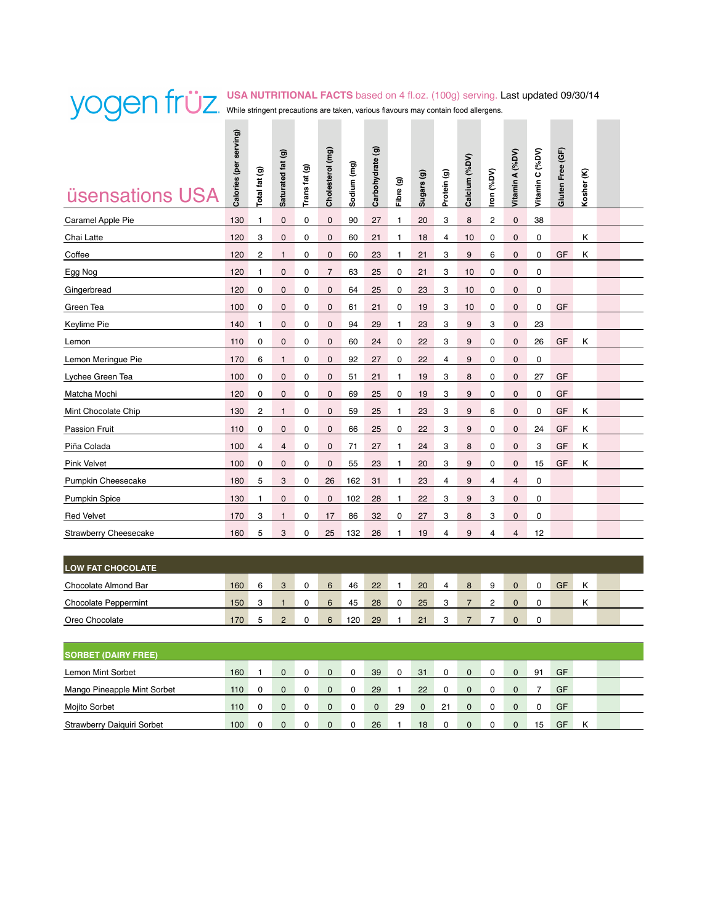### **USA NUTRITIONAL FACTS** based on 4 fl.oz. (100g) serving. Last updated 09/30/14 While stringent precautions are taken, various flavours may contain food allergens.  $\mathcal{L}^{\text{max}}$

| <b>üsensations USA</b>       | Calories (per serving) | Total fat (g) | Saturated fat (g) | Trans fat (g) | Cholesterol (mg) | Sodium (mg) | Carbohydrate (g) | Fibre (g)    | Sugars (g) | Protein (g) | Calcium (%DV) | Iron (%DV)   | Vitamin A (%DV) | Vitamin C (%DV) | Gluten Free (GF) | Kosher <sub>(K)</sub> |  |
|------------------------------|------------------------|---------------|-------------------|---------------|------------------|-------------|------------------|--------------|------------|-------------|---------------|--------------|-----------------|-----------------|------------------|-----------------------|--|
| Caramel Apple Pie            | 130                    | 1             | $\mathbf 0$       | $\mathbf 0$   | $\mathbf 0$      | 90          | 27               | 1            | 20         | 3           | 8             | $\mathbf{2}$ | $\mathbf 0$     | 38              |                  |                       |  |
| Chai Latte                   | 120                    | 3             | $\mathbf 0$       | 0             | $\mathbf{0}$     | 60          | 21               | 1            | 18         | 4           | 10            | 0            | $\mathbf 0$     | 0               |                  | Κ                     |  |
| Coffee                       | 120                    | 2             | $\mathbf{1}$      | $\mathbf 0$   | $\mathbf{0}$     | 60          | 23               | 1            | 21         | 3           | 9             | 6            | $\mathbf 0$     | $\mathbf 0$     | GF               | κ                     |  |
| Egg Nog                      | 120                    | 1             | $\mathbf 0$       | 0             | $\overline{7}$   | 63          | 25               | 0            | 21         | 3           | 10            | 0            | 0               | 0               |                  |                       |  |
| Gingerbread                  | 120                    | 0             | $\mathbf 0$       | 0             | $\mathbf 0$      | 64          | 25               | 0            | 23         | 3           | 10            | 0            | $\mathbf 0$     | $\mathbf 0$     |                  |                       |  |
| Green Tea                    | 100                    | 0             | $\mathbf 0$       | 0             | $\mathbf 0$      | 61          | 21               | 0            | 19         | 3           | 10            | 0            | $\mathbf 0$     | 0               | GF               |                       |  |
| Keylime Pie                  | 140                    | 1             | $\mathbf 0$       | 0             | $\mathbf 0$      | 94          | 29               | 1            | 23         | 3           | 9             | 3            | 0               | 23              |                  |                       |  |
| Lemon                        | 110                    | 0             | $\mathbf 0$       | 0             | $\mathbf 0$      | 60          | 24               | 0            | 22         | 3           | 9             | 0            | $\mathbf 0$     | 26              | GF               | Κ                     |  |
| Lemon Meringue Pie           | 170                    | 6             | $\mathbf{1}$      | 0             | $\mathbf 0$      | 92          | 27               | 0            | 22         | 4           | 9             | 0            | 0               | 0               |                  |                       |  |
| Lychee Green Tea             | 100                    | 0             | $\mathbf 0$       | 0             | $\mathbf 0$      | 51          | 21               | $\mathbf{1}$ | 19         | 3           | 8             | 0            | 0               | 27              | GF               |                       |  |
| Matcha Mochi                 | 120                    | 0             | $\mathbf 0$       | 0             | $\mathbf 0$      | 69          | 25               | 0            | 19         | 3           | 9             | 0            | $\mathbf 0$     | 0               | GF               |                       |  |
| Mint Chocolate Chip          | 130                    | 2             | $\mathbf{1}$      | 0             | $\mathbf 0$      | 59          | 25               | 1            | 23         | 3           | 9             | 6            | 0               | 0               | GF               | κ                     |  |
| <b>Passion Fruit</b>         | 110                    | 0             | $\mathbf 0$       | 0             | $\mathbf 0$      | 66          | 25               | 0            | 22         | 3           | 9             | 0            | $\mathbf 0$     | 24              | GF               | κ                     |  |
| Piña Colada                  | 100                    | 4             | $\overline{4}$    | 0             | $\mathbf 0$      | 71          | 27               | 1            | 24         | 3           | 8             | 0            | $\mathbf 0$     | 3               | GF               | κ                     |  |
| Pink Velvet                  | 100                    | 0             | 0                 | 0             | $\mathbf 0$      | 55          | 23               | 1            | 20         | 3           | 9             | 0            | 0               | 15              | GF               | κ                     |  |
| Pumpkin Cheesecake           | 180                    | 5             | 3                 | 0             | 26               | 162         | 31               | 1            | 23         | 4           | 9             | 4            | 4               | 0               |                  |                       |  |
| <b>Pumpkin Spice</b>         | 130                    | 1             | $\mathbf 0$       | 0             | $\mathbf 0$      | 102         | 28               | 1            | 22         | 3           | 9             | 3            | $\mathbf 0$     | 0               |                  |                       |  |
| <b>Red Velvet</b>            | 170                    | 3             | $\mathbf{1}$      | 0             | 17               | 86          | 32               | 0            | 27         | 3           | 8             | 3            | $\mathbf 0$     | 0               |                  |                       |  |
| <b>Strawberry Cheesecake</b> | 160                    | 5             | 3                 | 0             | 25               | 132         | 26               | 1            | 19         | 4           | 9             | 4            | $\overline{4}$  | 12              |                  |                       |  |

| <b>LOW FAT CHOCOLATE</b>    |     |   |                   |              |     |    |   |    |  |  |    |   |  |
|-----------------------------|-----|---|-------------------|--------------|-----|----|---|----|--|--|----|---|--|
| Chocolate Almond Bar        | 160 | 6 | $\mathbf{a}$<br>ັ | G<br>$\cdot$ | 46  | 22 |   | 20 |  |  | GF | Κ |  |
| <b>Chocolate Peppermint</b> | 150 | 3 |                   | ຨ<br>v       | 45  | 28 | ∩ | 25 |  |  |    | Κ |  |
| Oreo Chocolate              | 170 | ∽ | $\sim$            | ຨ            | 120 | 29 |   | 21 |  |  |    |   |  |

| <b>SORBET (DAIRY FREE)</b>  |     |          |              |          |          |          |          |    |          |          |    |    |   |  |
|-----------------------------|-----|----------|--------------|----------|----------|----------|----------|----|----------|----------|----|----|---|--|
| <b>Lemon Mint Sorbet</b>    | 160 | $\Omega$ | $\mathbf{0}$ | $\Omega$ | 39       | $\Omega$ | 31       |    | $\Omega$ | $\Omega$ | 91 | GF |   |  |
| Mango Pineapple Mint Sorbet | 110 | $\Omega$ | $\Omega$     |          | 29       |          | 22       |    | $\Omega$ | $\Omega$ |    | GF |   |  |
| Mojito Sorbet               | 110 | $\Omega$ | $\Omega$     |          | $\Omega$ | 29       | $\Omega$ | 21 | $\Omega$ | $\Omega$ |    | GF |   |  |
| Strawberry Daiguiri Sorbet  | 100 | $\Omega$ | $\Omega$     |          | 26       |          | 18       |    | $\Omega$ | $\Omega$ | 15 | GF | κ |  |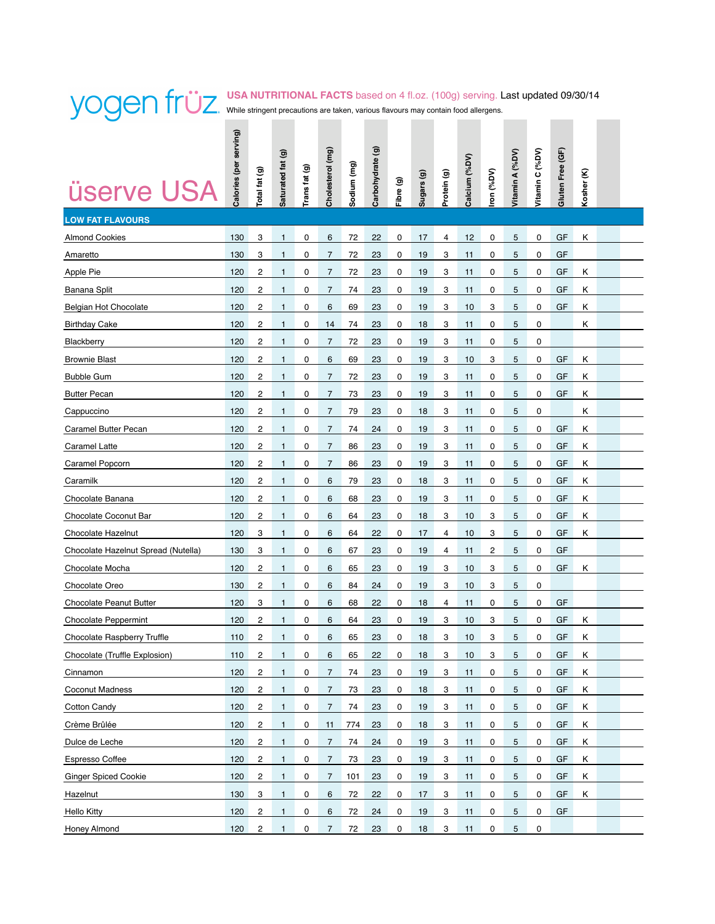## **USA NUTRITIONAL FACTS** based on 4 fl.oz. (100g) serving. Last updated 09/30/14 While stringent precautions are taken, various flavours may contain food allergens.

| <b>üserve USA</b>                   | Calories (per serving) | Total fat (g)           | Saturated fat (g) | Trans fat (g) | Cholesterol (mg) | Sodium (mg) | $\widehat{\mathbf{e}}$<br>Carbohydrate | Fibre (g) | Sugars (g) | Protein (g) | Calcium (%DV) | ron (%DV) | Vitamin A (%DV) | Vitamin C (%DV) | Gluten Free (GF) | Kosher (K) |  |
|-------------------------------------|------------------------|-------------------------|-------------------|---------------|------------------|-------------|----------------------------------------|-----------|------------|-------------|---------------|-----------|-----------------|-----------------|------------------|------------|--|
| <b>LOW FAT FLAVOURS</b>             |                        |                         |                   |               |                  |             |                                        |           |            |             |               |           |                 |                 |                  |            |  |
| <b>Almond Cookies</b>               | 130                    | 3                       | $\mathbf{1}$      | 0             | 6                | 72          | 22                                     | 0         | 17         | 4           | 12            | 0         | 5               | 0               | GF               | Κ          |  |
| Amaretto                            | 130                    | 3                       | 1                 | 0             | $\overline{7}$   | 72          | 23                                     | 0         | 19         | 3           | 11            | 0         | 5               | 0               | GF               |            |  |
| <b>Apple Pie</b>                    | 120                    | 2                       | 1                 | 0             | 7                | 72          | 23                                     | 0         | 19         | 3           | 11            | 0         | 5               | 0               | GF               | κ          |  |
| Banana Split                        | 120                    | 2                       | $\mathbf{1}$      | 0             | $\overline{7}$   | 74          | 23                                     | 0         | 19         | 3           | 11            | 0         | 5               | 0               | GF               | Κ          |  |
| Belgian Hot Chocolate               | 120                    | $\overline{c}$          | 1                 | 0             | 6                | 69          | 23                                     | 0         | 19         | 3           | 10            | 3         | 5               | 0               | GF               | Κ          |  |
| <b>Birthday Cake</b>                | 120                    | 2                       | $\mathbf{1}$      | 0             | 14               | 74          | 23                                     | 0         | 18         | 3           | 11            | 0         | 5               | 0               |                  | Κ          |  |
| <b>Blackberry</b>                   | 120                    | 2                       | 1                 | 0             | 7                | 72          | 23                                     | 0         | 19         | 3           | 11            | 0         | 5               | 0               |                  |            |  |
| <b>Brownie Blast</b>                | 120                    | 2                       | 1                 | 0             | 6                | 69          | 23                                     | 0         | 19         | 3           | 10            | 3         | 5               | 0               | GF               | Κ          |  |
| <b>Bubble Gum</b>                   | 120                    | 2                       | 1                 | 0             | 7                | 72          | 23                                     | 0         | 19         | 3           | 11            | 0         | 5               | 0               | GF               | Κ          |  |
| <b>Butter Pecan</b>                 | 120                    | 2                       | $\mathbf{1}$      | 0             | $\overline{7}$   | 73          | 23                                     | 0         | 19         | 3           | 11            | 0         | 5               | 0               | GF               | Κ          |  |
| Cappuccino                          | 120                    | $\overline{c}$          | 1                 | 0             | 7                | 79          | 23                                     | 0         | 18         | 3           | 11            | 0         | 5               | 0               |                  | Κ          |  |
| Caramel Butter Pecan                | 120                    | $\overline{c}$          | 1                 | 0             | $\overline{7}$   | 74          | 24                                     | 0         | 19         | 3           | 11            | 0         | 5               | 0               | GF               | Κ          |  |
| <b>Caramel Latte</b>                | 120                    | $\overline{c}$          | 1                 | 0             | $\overline{7}$   | 86          | 23                                     | 0         | 19         | 3           | 11            | 0         | 5               | 0               | GF               | Κ          |  |
| Caramel Popcorn                     | 120                    | $\overline{c}$          | 1                 | 0             | $\overline{7}$   | 86          | 23                                     | 0         | 19         | 3           | 11            | 0         | 5               | 0               | GF               | Κ          |  |
| Caramilk                            | 120                    | 2                       | $\mathbf{1}$      | 0             | 6                | 79          | 23                                     | 0         | 18         | 3           | 11            | 0         | 5               | 0               | GF               | Κ          |  |
| Chocolate Banana                    | 120                    | 2                       | 1                 | 0             | 6                | 68          | 23                                     | 0         | 19         | 3           | 11            | 0         | 5               | 0               | GF               | Κ          |  |
| Chocolate Coconut Bar               | 120                    | 2                       | $\mathbf{1}$      | 0             | 6                | 64          | 23                                     | 0         | 18         | 3           | 10            | 3         | 5               | 0               | GF               | κ          |  |
| Chocolate Hazelnut                  | 120                    | 3                       | 1                 | 0             | 6                | 64          | 22                                     | 0         | 17         | 4           | 10            | 3         | 5               | 0               | GF               | Κ          |  |
| Chocolate Hazelnut Spread (Nutella) | 130                    | 3                       | $\mathbf{1}$      | 0             | 6                | 67          | 23                                     | 0         | 19         | 4           | 11            | 2         | 5               | 0               | GF               |            |  |
| Chocolate Mocha                     | 120                    | 2                       | $\mathbf{1}$      | 0             | 6                | 65          | 23                                     | 0         | 19         | 3           | 10            | 3         | 5               | 0               | GF               | Κ          |  |
| Chocolate Oreo                      | 130                    | 2                       | $\mathbf{1}$      | 0             | 6                | 84          | 24                                     | 0         | 19         | 3           | 10            | 3         | 5               | 0               |                  |            |  |
| <b>Chocolate Peanut Butter</b>      | 120                    | 3                       | $\mathbf{1}$      | 0             | 6                | 68          | 22                                     | 0         | 18         | 4           | 11            | 0         | 5               | 0               | GF               |            |  |
| <b>Chocolate Peppermint</b>         | 120                    | 2                       | 1                 | 0             | 6                | 64          | 23                                     | 0         | 19         | 3           | 10            | 3         | 5               | 0               | GF               | Κ          |  |
| <b>Chocolate Raspberry Truffle</b>  | 110                    | $\overline{\mathbf{c}}$ | 1                 | 0             | 6                | 65          | 23                                     | 0         | 18         | 3           | 10            | 3         | 5               | 0               | GF               | κ          |  |
| Chocolate (Truffle Explosion)       | 110                    | 2                       | $\overline{ }$    | 0             | 6                | 65          | 22                                     | 0         | 18         | 3           | $10$          | 3         | 5               | 0               | GF               | Κ          |  |
| Cinnamon                            | 120                    | 2                       | $\mathbf{1}$      | 0             | $\overline{7}$   | 74          | 23                                     | 0         | 19         | 3           | 11            | 0         | 5               | 0               | GF               | Κ          |  |
| Coconut Madness                     | 120                    | 2                       | 1                 | 0             | $\overline{7}$   | 73          | 23                                     | 0         | 18         | 3           | 11            | 0         | 5               | 0               | GF               | Κ          |  |
| Cotton Candy                        | 120                    | 2                       | $\mathbf{1}$      | 0             | $\overline{7}$   | 74          | 23                                     | 0         | 19         | 3           | 11            | 0         | 5               | 0               | GF               | Κ          |  |
| Crème Brûlée                        | 120                    | 2                       | 1                 | 0             | 11               | 774         | 23                                     | 0         | 18         | 3           | 11            | 0         | 5               | 0               | GF               | Κ          |  |
| Dulce de Leche                      | 120                    | 2                       | $\mathbf{1}$      | 0             | $\overline{7}$   | 74          | 24                                     | 0         | 19         | 3           | 11            | 0         | 5               | 0               | GF               | Κ          |  |
| Espresso Coffee                     | 120                    | 2                       | $\mathbf{1}$      | 0             | $\overline{7}$   | 73          | 23                                     | 0         | 19         | 3           | 11            | 0         | 5               | 0               | GF               | Κ          |  |
| <b>Ginger Spiced Cookie</b>         | 120                    | 2                       | $\mathbf{1}$      | 0             | $\overline{7}$   | 101         | 23                                     | 0         | 19         | 3           | 11            | 0         | 5               | 0               | GF               | Κ          |  |
| Hazelnut                            | 130                    | 3                       | 1                 | 0             | 6                | 72          | 22                                     | 0         | 17         | 3           | 11            | 0         | 5               | 0               | GF               | Κ          |  |
| <b>Hello Kitty</b>                  | 120                    | 2                       | 1                 | 0             | 6                | 72          | 24                                     | 0         | 19         | 3           | 11            | 0         | 5               | 0               | GF               |            |  |
| Honey Almond                        | 120                    | 2                       | $\mathbf{1}$      | 0             | $\overline{7}$   | 72          | 23                                     | 0         | 18         | 3           | 11            | 0         | 5               | 0               |                  |            |  |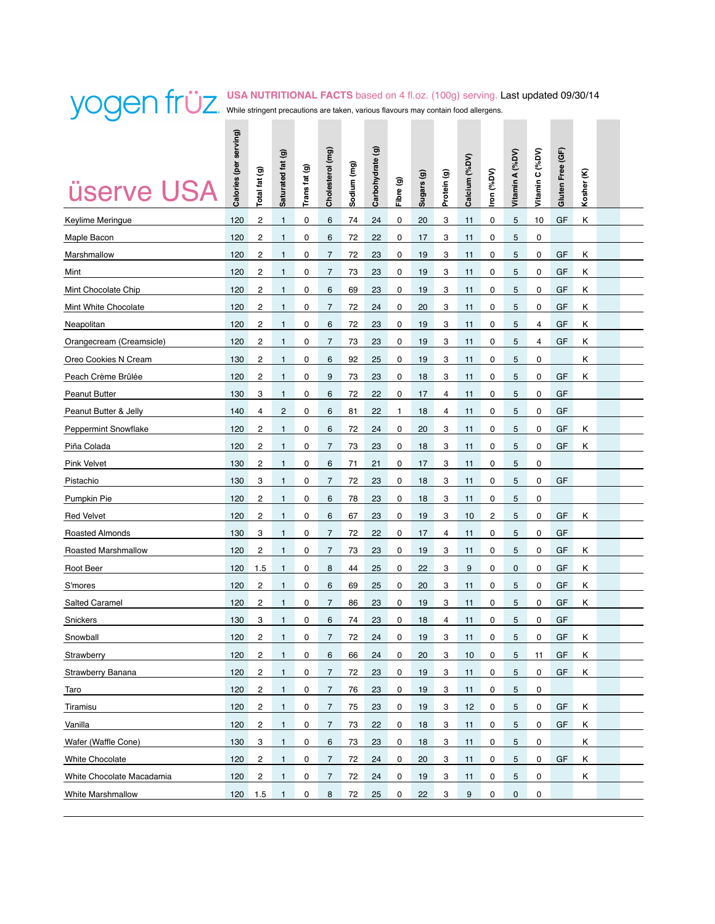### **USA NUTRITIONAL FACTS** based on 4 fl.oz. (100g) serving. Last updated 09/30/14 While stringent precautions are taken, various flavours may contain food allergens. **Contract**

| <b>üserve USA</b>           | Calories (per serving) | Total fat (g)           | Saturated fat (g) | Trans fat (g) | Cholesterol (mg) | Sodium (mg) | $\widehat{\mathbf{e}}$<br>Carbohydrate | Fibre (g) | Sugars (g) | Protein (g) | Calcium (%DV) | ron (%DV) | Vitamin A (%DV) | Vitamin C (%DV) | Gluten Free (GF) | Kosher (K) |  |
|-----------------------------|------------------------|-------------------------|-------------------|---------------|------------------|-------------|----------------------------------------|-----------|------------|-------------|---------------|-----------|-----------------|-----------------|------------------|------------|--|
| Keylime Meringue            | 120                    | $\overline{c}$          | $\mathbf{1}$      | 0             | 6                | 74          | 24                                     | 0         | 20         | 3           | 11            | 0         | 5               | 10              | GF               | κ          |  |
| Maple Bacon                 | 120                    | 2                       | 1                 | 0             | 6                | 72          | 22                                     | 0         | 17         | 3           | 11            | 0         | 5               | 0               |                  |            |  |
| Marshmallow                 | 120                    | 2                       | 1                 | 0             | 7                | 72          | 23                                     | 0         | 19         | 3           | 11            | 0         | 5               | 0               | GF               | Κ          |  |
| Mint                        | 120                    | 2                       | $\mathbf{1}$      | 0             | $\overline{7}$   | 73          | 23                                     | 0         | 19         | 3           | 11            | 0         | 5               | 0               | GF               | Κ          |  |
| Mint Chocolate Chip         | 120                    | 2                       | $\mathbf{1}$      | 0             | 6                | 69          | 23                                     | 0         | 19         | 3           | 11            | 0         | 5               | 0               | GF               | κ          |  |
| Mint White Chocolate        | 120                    | 2                       | $\mathbf{1}$      | 0             | $\overline{7}$   | 72          | 24                                     | 0         | 20         | 3           | 11            | 0         | 5               | 0               | GF               | Κ          |  |
| Neapolitan                  | 120                    | 2                       | 1                 | 0             | 6                | 72          | 23                                     | 0         | 19         | 3           | 11            | 0         | 5               | 4               | GF               | Κ          |  |
| Orangecream (Creamsicle)    | 120                    | 2                       | 1                 | 0             | $\overline{7}$   | 73          | 23                                     | 0         | 19         | 3           | 11            | 0         | 5               | 4               | GF               | κ          |  |
| Oreo Cookies N Cream        | 130                    | 2                       | 1                 | 0             | 6                | 92          | 25                                     | 0         | 19         | 3           | 11            | 0         | 5               | 0               |                  | κ          |  |
| Peach Crème Brûlée          | 120                    | $\overline{\mathbf{c}}$ | $\mathbf{1}$      | 0             | 9                | 73          | 23                                     | 0         | 18         | 3           | 11            | 0         | 5               | 0               | GF               | κ          |  |
| <b>Peanut Butter</b>        | 130                    | 3                       | 1                 | 0             | 6                | 72          | 22                                     | 0         | 17         | 4           | 11            | 0         | 5               | 0               | GF               |            |  |
| Peanut Butter & Jelly       | 140                    | 4                       | $\overline{c}$    | 0             | 6                | 81          | 22                                     | 1         | 18         | 4           | 11            | 0         | 5               | 0               | GF               |            |  |
| <b>Peppermint Snowflake</b> | 120                    | $\overline{\mathbf{c}}$ | 1                 | 0             | 6                | 72          | 24                                     | 0         | 20         | 3           | 11            | 0         | 5               | 0               | GF               | κ          |  |
| Piña Colada                 | 120                    | $\overline{\mathbf{c}}$ | 1                 | 0             | $\overline{7}$   | 73          | 23                                     | 0         | 18         | 3           | 11            | 0         | 5               | 0               | GF               | Κ          |  |
| <b>Pink Velvet</b>          | 130                    | $\overline{\mathbf{c}}$ | 1                 | 0             | 6                | 71          | 21                                     | 0         | 17         | 3           | 11            | 0         | 5               | 0               |                  |            |  |
| Pistachio                   | 130                    | 3                       | 1                 | 0             | $\overline{7}$   | 72          | 23                                     | 0         | 18         | 3           | 11            | 0         | 5               | 0               | GF               |            |  |
| Pumpkin Pie                 | 120                    | 2                       | 1                 | 0             | 6                | 78          | 23                                     | 0         | 18         | 3           | 11            | 0         | 5               | 0               |                  |            |  |
| <b>Red Velvet</b>           | 120                    | $\overline{\mathbf{c}}$ | 1                 | 0             | 6                | 67          | 23                                     | 0         | 19         | 3           | 10            | 2         | 5               | 0               | GF               | κ          |  |
| <b>Roasted Almonds</b>      | 130                    | 3                       | 1                 | 0             | $\overline{7}$   | 72          | 22                                     | 0         | 17         | 4           | 11            | 0         | 5               | 0               | GF               |            |  |
| Roasted Marshmallow         | 120                    | $\overline{\mathbf{c}}$ | $\mathbf{1}$      | 0             | $\overline{7}$   | 73          | 23                                     | 0         | 19         | 3           | 11            | 0         | 5               | 0               | GF               | κ          |  |
| Root Beer                   | 120                    | 1.5                     | $\mathbf{1}$      | 0             | 8                | 44          | 25                                     | 0         | 22         | 3           | 9             | 0         | 0               | 0               | GF               | κ          |  |
| S'mores                     | 120                    | 2                       | 1                 | 0             | 6                | 69          | 25                                     | 0         | 20         | 3           | 11            | 0         | 5               | 0               | GF               | κ          |  |
| <b>Salted Caramel</b>       | 120                    | 2                       | $\mathbf{1}$      | 0             | $\overline{7}$   | 86          | 23                                     | 0         | 19         | 3           | 11            | 0         | 5               | 0               | GF               | κ          |  |
| Snickers                    | 130                    | 3                       | 1                 | 0             | 6                | 74          | 23                                     | 0         | 18         | 4           | 11            | 0         | 5               | 0               | GF               |            |  |
| Snowball                    | 120                    | $\overline{c}$          | $\mathbf{1}$      | 0             | 7                | 72          | 24                                     | 0         | 19         | 3           | 11            | 0         | 5               | 0               | GF               | κ          |  |
| Strawberry                  | 120                    | 2                       | 1                 | 0             | 6                | 66          | 24                                     | 0         | 20         | 3           | 10            | 0         | 5               | 11              | GF               | ĸ          |  |
| Strawberry Banana           | 120                    | $\overline{c}$          | 1                 | 0             | $\overline{7}$   | 72          | 23                                     | 0         | 19         | 3           | 11            | 0         | 5               | 0               | GF               | Κ          |  |
| Taro                        | 120                    | 2                       | $\mathbf{1}$      | 0             | $\overline{7}$   | 76          | 23                                     | 0         | 19         | 3           | 11            | 0         | 5               | 0               |                  |            |  |
| Tiramisu                    | 120                    | $\overline{c}$          | $\mathbf{1}$      | 0             | $\overline{7}$   | 75          | 23                                     | 0         | 19         | 3           | 12            | 0         | 5               | 0               | GF               | Κ          |  |
| Vanilla                     | 120                    | 2                       | $\mathbf{1}$      | 0             | 7                | 73          | 22                                     | 0         | 18         | 3           | 11            | 0         | 5               | 0               | GF               | Κ          |  |
| Wafer (Waffle Cone)         | 130                    | 3                       | 1                 | 0             | 6                | 73          | 23                                     | 0         | 18         | 3           | 11            | 0         | $\mathbf 5$     | 0               |                  | Κ          |  |
| <b>White Chocolate</b>      | 120                    | 2                       | 1                 | 0             | 7                | 72          | 24                                     | 0         | 20         | 3           | 11            | 0         | 5               | 0               | GF               | Κ          |  |
| White Chocolate Macadamia   | 120                    | $\overline{c}$          | 1                 | 0             | $\overline{7}$   | 72          | 24                                     | 0         | 19         | 3           | 11            | 0         | 5               | 0               |                  | Κ          |  |
| White Marshmallow           | 120                    | 1.5                     | 1                 | 0             | 8                | 72          | 25                                     | 0         | 22         | 3           | 9             | 0         | 0               | 0               |                  |            |  |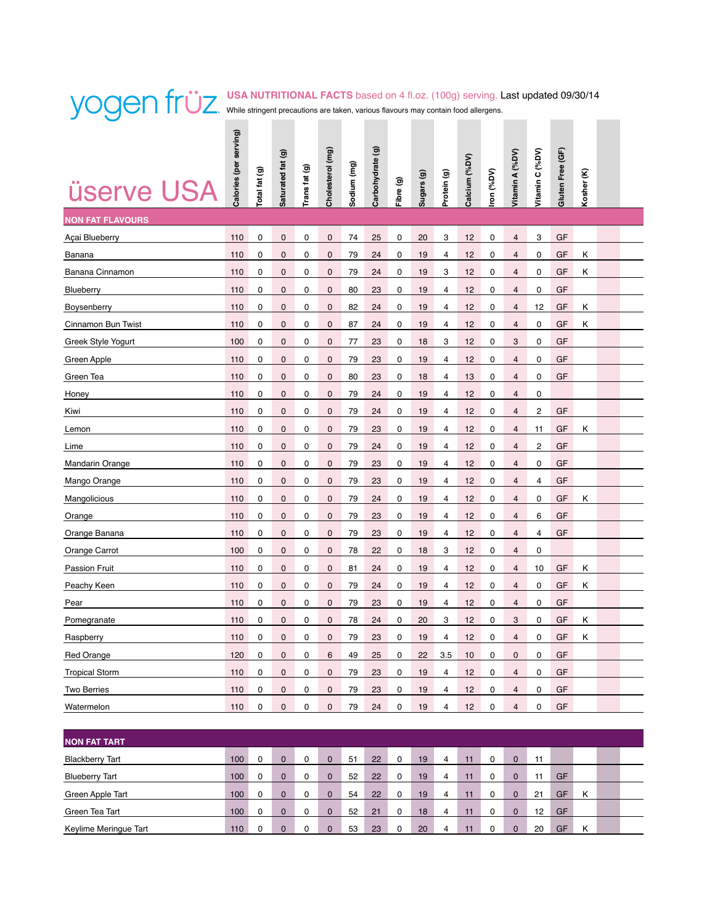## **USA NUTRITIONAL FACTS** based on 4 fl.oz. (100g) serving. Last updated 09/30/14 While stringent precautions are taken, various flavours may contain food allergens.  $\mathcal{L}(\mathcal{A})$

| <b>üserve USA</b>       | Calories (per serving) | otal fat (g) | Saturated fat (g) | Trans fat (g) | Cholesterol (mg) | Sodium (mg) | $\widehat{\mathbf{e}}$<br>Carbohydrate | Fibre (g) | Sugars (g) | Protein (g)    | Calcium (%DV) | ron (%DV) | Vitamin A (%DV)         | Vitamin C (%DV) | Gluten Free (GF) | ε<br>Kosher |  |
|-------------------------|------------------------|--------------|-------------------|---------------|------------------|-------------|----------------------------------------|-----------|------------|----------------|---------------|-----------|-------------------------|-----------------|------------------|-------------|--|
| <b>NON FAT FLAVOURS</b> |                        |              |                   |               |                  |             |                                        |           |            |                |               |           |                         |                 |                  |             |  |
| Açai Blueberry          | 110                    | $\pmb{0}$    | $\pmb{0}$         | 0             | $\pmb{0}$        | 74          | 25                                     | 0         | 20         | 3              | 12            | 0         | $\overline{\mathbf{4}}$ | 3               | GF               |             |  |
| Banana                  | 110                    | 0            | 0                 | 0             | $\mathbf 0$      | 79          | 24                                     | 0         | 19         | 4              | 12            | 0         | 4                       | 0               | GF               | Κ           |  |
| Banana Cinnamon         | 110                    | 0            | 0                 | 0             | $\pmb{0}$        | 79          | 24                                     | 0         | 19         | 3              | 12            | 0         | $\overline{\mathbf{4}}$ | 0               | GF               | κ           |  |
| Blueberry               | 110                    | 0            | 0                 | 0             | $\pmb{0}$        | 80          | 23                                     | 0         | 19         | 4              | 12            | 0         | $\overline{\mathbf{4}}$ | 0               | GF               |             |  |
| Boysenberry             | 110                    | 0            | $\pmb{0}$         | 0             | $\mathbf 0$      | 82          | 24                                     | 0         | 19         | $\overline{4}$ | 12            | 0         | $\overline{\mathbf{4}}$ | 12              | GF               | Κ           |  |
| Cinnamon Bun Twist      | 110                    | $\mathbf 0$  | $\mathbf 0$       | 0             | $\mathbf 0$      | 87          | 24                                     | 0         | 19         | $\overline{4}$ | 12            | 0         | $\overline{\mathbf{4}}$ | 0               | GF               | Κ           |  |
| Greek Style Yogurt      | 100                    | 0            | $\pmb{0}$         | 0             | $\pmb{0}$        | 77          | 23                                     | 0         | 18         | 3              | 12            | 0         | 3                       | 0               | GF               |             |  |
| Green Apple             | 110                    | 0            | 0                 | 0             | $\mathbf 0$      | 79          | 23                                     | 0         | 19         | 4              | 12            | 0         | $\overline{\mathbf{4}}$ | 0               | GF               |             |  |
| Green Tea               | 110                    | 0            | $\mathbf 0$       | 0             | $\mathbf 0$      | 80          | 23                                     | 0         | 18         | $\overline{4}$ | 13            | 0         | $\overline{4}$          | 0               | GF               |             |  |
| Honey                   | 110                    | $\mathbf 0$  | $\mathbf{0}$      | $\mathbf 0$   | $\pmb{0}$        | 79          | 24                                     | 0         | 19         | 4              | 12            | 0         | $\overline{4}$          | 0               |                  |             |  |
| Kiwi                    | 110                    | 0            | $\pmb{0}$         | 0             | $\pmb{0}$        | 79          | 24                                     | 0         | 19         | 4              | 12            | 0         | $\overline{\mathbf{4}}$ | 2               | GF               |             |  |
| Lemon                   | 110                    | 0            | 0                 | 0             | $\pmb{0}$        | 79          | 23                                     | 0         | 19         | $\overline{4}$ | 12            | 0         | $\overline{\mathbf{4}}$ | 11              | GF               | κ           |  |
| Lime                    | 110                    | 0            | $\mathbf 0$       | 0             | $\mathbf 0$      | 79          | 24                                     | 0         | 19         | 4              | 12            | 0         | 4                       | 2               | GF               |             |  |
| <b>Mandarin Orange</b>  | 110                    | 0            | $\pmb{0}$         | 0             | $\pmb{0}$        | 79          | 23                                     | 0         | 19         | 4              | 12            | 0         | $\overline{\mathbf{4}}$ | 0               | GF               |             |  |
| Mango Orange            | 110                    | 0            | 0                 | 0             | $\pmb{0}$        | 79          | 23                                     | 0         | 19         | 4              | 12            | 0         | $\overline{\mathbf{4}}$ | 4               | GF               |             |  |
| Mangolicious            | 110                    | 0            | $\mathbf 0$       | 0             | $\mathbf 0$      | 79          | 24                                     | 0         | 19         | 4              | 12            | 0         | 4                       | 0               | GF               | Κ           |  |
| Orange                  | 110                    | 0            | 0                 | 0             | $\pmb{0}$        | 79          | 23                                     | 0         | 19         | 4              | 12            | 0         | $\overline{4}$          | 6               | GF               |             |  |
| Orange Banana           | 110                    | 0            | $\mathbf 0$       | 0             | $\mathbf 0$      | 79          | 23                                     | 0         | 19         | $\overline{4}$ | 12            | 0         | $\overline{\mathbf{4}}$ | 4               | GF               |             |  |
| Orange Carrot           | 100                    | 0            | $\pmb{0}$         | $\pmb{0}$     | $\mathbf 0$      | 78          | 22                                     | $\pmb{0}$ | 18         | 3              | 12            | 0         | $\overline{\mathbf{4}}$ | 0               |                  |             |  |
| <b>Passion Fruit</b>    | 110                    | 0            | $\mathbf 0$       | 0             | $\mathbf 0$      | 81          | 24                                     | 0         | 19         | 4              | 12            | 0         | $\overline{\mathbf{4}}$ | 10              | GF               | Κ           |  |
| Peachy Keen             | 110                    | 0            | 0                 | 0             | $\pmb{0}$        | 79          | 24                                     | 0         | 19         | 4              | 12            | 0         | $\overline{\mathbf{4}}$ | 0               | GF               | Κ           |  |
| Pear                    | 110                    | 0            | $\mathbf 0$       | 0             | $\pmb{0}$        | 79          | 23                                     | 0         | 19         | 4              | 12            | 0         | $\overline{\mathbf{4}}$ | 0               | GF               |             |  |
| Pomegranate             | 110                    | 0            | $\mathbf 0$       | 0             | $\mathbf 0$      | 78          | 24                                     | 0         | 20         | 3              | 12            | 0         | 3                       | 0               | GF               | Κ           |  |
| Raspberry               | 110                    | $\mathbf 0$  | $\mathbf{0}$      | 0             | 0                | 79          | 23                                     | 0         | 19         | $\overline{4}$ | 12            | 0         | 4                       | 0               | GF               | κ           |  |
| <b>Red Orange</b>       | 120                    | 0            | $\mathbf 0$       | 0             | 6                | 49          | 25                                     | 0         | 22         | 3.5            | 10            | 0         | 0                       | 0               | GF               |             |  |
| <b>Tropical Storm</b>   | 110                    | $\pmb{0}$    | 0                 | 0             | $\mathbf 0$      | 79          | 23                                     | $\pmb{0}$ | 19         | $\overline{4}$ | 12            | 0         | $\overline{\mathbf{4}}$ | 0               | GF               |             |  |
| <b>Two Berries</b>      | 110                    | 0            | 0                 | 0             | $\mathbf{0}$     | 79          | 23                                     | 0         | 19         | 4              | 12            | 0         | $\overline{4}$          | 0               | GF               |             |  |
| Watermelon              | 110                    | 0            | $\Omega$          | 0             | 0                | 79          | 24                                     | 0         | 19         | 4              | 12            | $\Omega$  | $\overline{\mathbf{4}}$ | 0               | GF               |             |  |
|                         |                        |              |                   |               |                  |             |                                        |           |            |                |               |           |                         |                 |                  |             |  |

| <b>NON FAT TART</b>    |     |          |          |          |    |    |              |    |   |    |             |    |    |   |  |
|------------------------|-----|----------|----------|----------|----|----|--------------|----|---|----|-------------|----|----|---|--|
| <b>Blackberry Tart</b> | 100 | $\Omega$ | $\Omega$ | $\Omega$ | 51 | 22 | $\Omega$     | 19 | 4 | 11 | $\Omega$    | 11 |    |   |  |
| <b>Blueberry Tart</b>  | 100 |          | $\Omega$ | $\Omega$ | 52 | 22 | $\Omega$     | 19 | 4 | 11 | $\mathbf 0$ |    | GF |   |  |
| Green Apple Tart       | 100 | 0        | $\Omega$ | $\Omega$ | 54 | 22 | $\Omega$     | 19 | 4 | 11 | $\Omega$    | 21 | GF | Κ |  |
| Green Tea Tart         | 100 | $\Omega$ | $\Omega$ | $\Omega$ | 52 | 21 | $\Omega$     | 18 | 4 | 11 | $\Omega$    | 12 | GF |   |  |
| Keylime Meringue Tart  | 110 |          | $\Omega$ | $\Omega$ | 53 | 23 | <sup>0</sup> | 20 | 4 | 11 | $\Omega$    | 20 | GF | κ |  |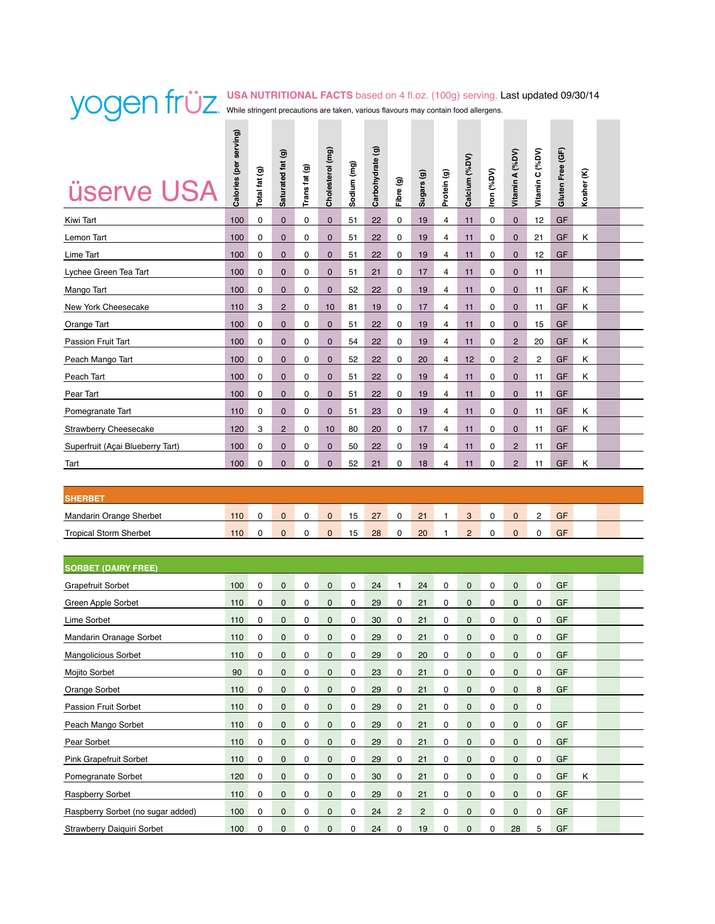#### **USA NUTRITIONAL FACTS** based on 4 fl.oz. (100g) serving. Last updated 09/30/14 While stringent precautions are taken, various flavours may contain food allergens.  $\sim 100$  km s  $^{-1}$

| <b>üserve USA</b>                | Calories (per serving) | Total fat (g) | Saturated fat (g) | Trans fat (g) | Cholesterol (mg) | Sodium (mg) | Carbohydrate (g) | Fibre (g) | Sugars (g) | Protein (g) | Calcium (%DV)  | Iron (%DV) | Vitamin A (%DV) | Vitamin C (%DV) | Gluten Free (GF) | Kosher (K) |  |
|----------------------------------|------------------------|---------------|-------------------|---------------|------------------|-------------|------------------|-----------|------------|-------------|----------------|------------|-----------------|-----------------|------------------|------------|--|
| Kiwi Tart                        | 100                    | 0             | $\mathbf 0$       | 0             | $\mathbf 0$      | 51          | 22               | 0         | 19         | 4           | 11             | 0          | $\mathbf 0$     | 12              | GF               |            |  |
| Lemon Tart                       | 100                    | 0             | $\mathbf 0$       | 0             | $\mathbf 0$      | 51          | 22               | 0         | 19         | 4           | 11             | 0          | $\mathbf 0$     | 21              | GF               | Κ          |  |
| Lime Tart                        | 100                    | 0             | $\mathbf 0$       | 0             | $\mathbf 0$      | 51          | 22               | 0         | 19         | 4           | 11             | 0          | $\mathbf 0$     | 12              | GF               |            |  |
| Lychee Green Tea Tart            | 100                    | 0             | $\mathbf 0$       | 0             | $\mathbf 0$      | 51          | 21               | 0         | 17         | 4           | 11             | 0          | $\mathbf 0$     | 11              |                  |            |  |
| Mango Tart                       | 100                    | 0             | $\mathbf 0$       | 0             | $\mathbf 0$      | 52          | 22               | 0         | 19         | 4           | 11             | 0          | $\mathbf 0$     | 11              | GF               | Κ          |  |
| New York Cheesecake              | 110                    | 3             | $\overline{c}$    | 0             | 10               | 81          | 19               | 0         | 17         | 4           | 11             | 0          | $\mathbf 0$     | 11              | GF               | Κ          |  |
| Orange Tart                      | 100                    | 0             | $\mathbf 0$       | 0             | $\mathbf 0$      | 51          | 22               | 0         | 19         | 4           | 11             | 0          | $\mathbf 0$     | 15              | GF               |            |  |
| <b>Passion Fruit Tart</b>        | 100                    | 0             | $\mathbf 0$       | 0             | $\mathbf 0$      | 54          | 22               | 0         | 19         | 4           | 11             | 0          | $\overline{2}$  | 20              | GF               | Κ          |  |
| Peach Mango Tart                 | 100                    | 0             | $\mathbf 0$       | 0             | $\mathbf 0$      | 52          | 22               | 0         | 20         | 4           | 12             | 0          | $\overline{2}$  | $\overline{c}$  | GF               | Κ          |  |
| Peach Tart                       | 100                    | 0             | $\mathbf 0$       | 0             | $\mathbf 0$      | 51          | 22               | 0         | 19         | 4           | 11             | 0          | $\mathbf 0$     | 11              | GF               | Κ          |  |
| Pear Tart                        | 100                    | 0             | $\mathbf 0$       | 0             | $\mathbf 0$      | 51          | 22               | 0         | 19         | 4           | 11             | 0          | $\mathbf 0$     | 11              | GF               |            |  |
| Pomegranate Tart                 | 110                    | 0             | $\mathbf 0$       | 0             | $\mathbf 0$      | 51          | 23               | 0         | 19         | 4           | 11             | 0          | $\mathbf 0$     | 11              | GF               | Κ          |  |
| <b>Strawberry Cheesecake</b>     | 120                    | 3             | $\overline{2}$    | 0             | 10               | 80          | 20               | 0         | 17         | 4           | 11             | 0          | $\mathbf 0$     | 11              | GF               | Κ          |  |
| Superfruit (Açai Blueberry Tart) | 100                    | 0             | $\mathbf 0$       | 0             | $\mathbf 0$      | 50          | 22               | 0         | 19         | 4           | 11             | 0          | $\overline{c}$  | 11              | GF               |            |  |
| Tart                             | 100                    | 0             | $\mathbf 0$       | 0             | $\mathbf 0$      | 52          | 21               | 0         | 18         | 4           | 11             | 0          | $\overline{2}$  | 11              | GF               | Κ          |  |
|                                  |                        |               |                   |               |                  |             |                  |           |            |             |                |            |                 |                 |                  |            |  |
| <b>SHERBET</b>                   |                        |               |                   |               |                  |             |                  |           |            |             |                |            |                 |                 |                  |            |  |
| Mandarin Orange Sherbet          | 110                    | 0             | $\mathbf 0$       | 0             | $\mathbf 0$      | 15          | 27               | 0         | 21         | 1           | 3              | 0          | $\mathbf 0$     | 2               | GF               |            |  |
| <b>Tropical Storm Sherbet</b>    | 110                    | 0             | 0                 | 0             | $\mathbf 0$      | 15          | 28               | 0         | 20         | 1           | $\overline{2}$ | 0          | $\mathbf 0$     | 0               | GF               |            |  |
| <b>SORBET (DAIRY FREE)</b>       |                        |               |                   |               |                  |             |                  |           |            |             |                |            |                 |                 |                  |            |  |
| <b>Grapefruit Sorbet</b>         | 100                    | 0             | 0                 | 0             | 0                | 0           | 24               | 1         | 24         | 0           | 0              | 0          | 0               | 0               | GF               |            |  |
| Green Apple Sorbet               | 110                    | 0             | 0                 | 0             | 0                | 0           | 29               | 0         | 21         | 0           | $\mathbf 0$    | 0          | $\mathbf 0$     | 0               | GF               |            |  |
| Lime Sorbet                      | 110                    | 0             | $\mathbf 0$       | 0             | $\mathbf 0$      | 0           | 30               | 0         | 21         | 0           | 0              | 0          | $\mathbf 0$     | 0               | GF               |            |  |
| Mandarin Oranage Sorbet          | 110                    | 0             | $\mathbf 0$       | 0             | $\mathbf 0$      | 0           | 29               | 0         | 21         | 0           | $\mathbf 0$    | 0          | $\mathbf 0$     | 0               | GF               |            |  |
| Mangolicious Sorbet              | 110                    | 0             | $\pmb{0}$         | 0             | $\pmb{0}$        | 0           | 29               | 0         | 20         | 0           | 0              | 0          | 0               | 0               | GF               |            |  |
| Mojito Sorbet                    | 90                     | 0             | $\pmb{0}$         | 0             | $\pmb{0}$        | 0           | 23               | 0         | 21         | 0           | $\mathbf 0$    | 0          | $\mathbf 0$     | 0               | GF               |            |  |
| Orange Sorbet                    | 110                    | 0             | $\pmb{0}$         | 0             | $\pmb{0}$        | 0           | 29               | 0         | 21         | 0           | $\mathbf 0$    | 0          | $\mathbf 0$     | 8               | GF               |            |  |
| Passion Fruit Sorbet             | 110                    | 0             | $\pmb{0}$         | 0             | $\pmb{0}$        | 0           | 29               | 0         | 21         | 0           | $\mathbf 0$    | 0          | $\mathbf 0$     | 0               |                  |            |  |
| Peach Mango Sorbet               | 110                    | 0             | $\pmb{0}$         | 0             | $\mathbf 0$      | 0           | 29               | 0         | 21         | 0           | 0              | 0          | $\mathbf 0$     | 0               | GF               |            |  |
| Pear Sorbet                      | 110                    | 0             | $\pmb{0}$         | 0             | $\pmb{0}$        | 0           | 29               | 0         | 21         | 0           | $\pmb{0}$      | 0          | $\pmb{0}$       | 0               | GF               |            |  |
|                                  |                        |               |                   |               |                  |             |                  |           |            |             |                |            |                 |                 |                  |            |  |

Pink Grapefruit Sorbet 110 0 0 0 0 0 29 0 21 0 0 0 0 0 GF Pomegranate Sorbet 120 0 0 0 0 0 30 0 21 0 0 0 0 0 GF K Raspberry Sorbet 110 0 0 0 0 0 29 0 21 0 0 0 0 0 GF Raspberry Sorbet (no sugar added) 100 0 0 0 0 0 24 2 2 0 0 0 0 0 GF Strawberry Daiquiri Sorbet 100 0 0 0 0 0 24 0 19 0 0 0 28 5 GF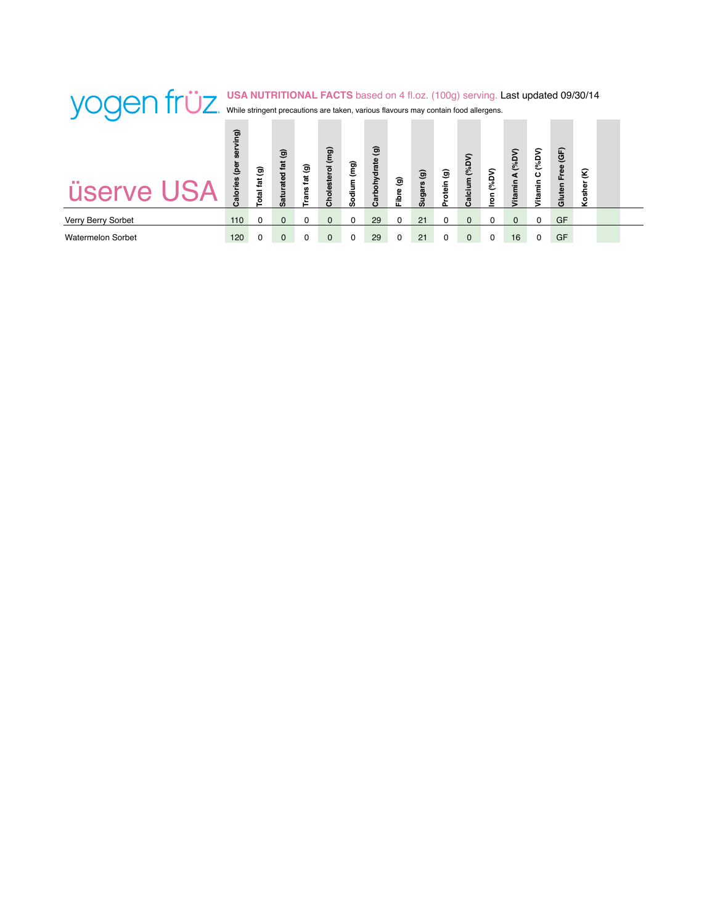| yogen früz         |                        |                | While stringent precautions are taken, various flavours may contain food allergens. |               |                  |             |                                        |            |                    |            |                   |        | <b>USA NUTRITIONAL FACTS</b> based on 4 fl.oz. (100g) serving. Last updated 09/30/14 |             |                |   |  |
|--------------------|------------------------|----------------|-------------------------------------------------------------------------------------|---------------|------------------|-------------|----------------------------------------|------------|--------------------|------------|-------------------|--------|--------------------------------------------------------------------------------------|-------------|----------------|---|--|
| <b>üserve USA</b>  | ving)<br>ē<br>Calories | ම<br>Total fat | ම<br>Saturated fat                                                                  | ම<br>ā<br>ans | Cholesterol (mg) | Ē<br>Sodium | $\widehat{\mathbf{g}}$<br>Carbohydrate | ම<br>Fibre | ම<br><b>Sugars</b> | ම<br>otein | (96DV)<br>Calcium | (96DV) | (96DV)<br>4<br>im                                                                    | (96DV)<br>ပ | Free (GF)<br>ā | ε |  |
| Verry Berry Sorbet | 110                    | O              | $\Omega$                                                                            |               | $\Omega$         |             | 29                                     | 0          | 21                 |            | $\Omega$          |        | $\Omega$                                                                             |             | GF             |   |  |
| Watermelon Sorbet  | 120                    |                | 0                                                                                   |               |                  |             | 29                                     |            | 21                 |            | $\Omega$          |        | 16                                                                                   |             | GF             |   |  |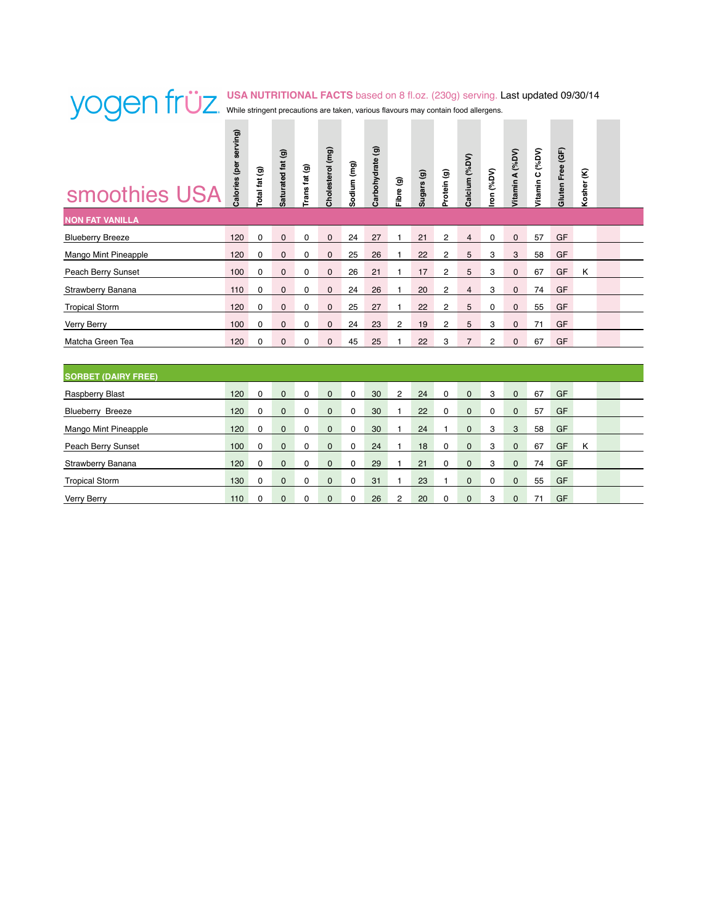### **USA NUTRITIONAL FACTS** based on 8 fl.oz. (230g) serving. Last updated 09/30/14 While stringent precautions are taken, various flavours may contain food allergens. **Contract Contract**

| smoothies USA              | Calories (per serving) | Total fat (g) | Saturated fat (g) | Trans fat (g) | Cholesterol (mg) | Sodium (mg) | Carbohydrate (g) | Fibre (g)      | Sugars <sub>(g)</sub> | Protein (g)    | Calcium (%DV)  | ron (%DV) | Vitamin A (%DV) | Vitamin C (%DV) | Gluten Free (GF) | Kosher (K) |  |
|----------------------------|------------------------|---------------|-------------------|---------------|------------------|-------------|------------------|----------------|-----------------------|----------------|----------------|-----------|-----------------|-----------------|------------------|------------|--|
| <b>NON FAT VANILLA</b>     |                        |               |                   |               |                  |             |                  |                |                       |                |                |           |                 |                 |                  |            |  |
| <b>Blueberry Breeze</b>    | 120                    | 0             | $\mathbf{0}$      | 0             | $\mathbf{0}$     | 24          | 27               | $\overline{1}$ | 21                    | $\overline{c}$ | $\overline{4}$ | 0         | $\mathbf 0$     | 57              | GF               |            |  |
| Mango Mint Pineapple       | 120                    | 0             | $\mathbf 0$       | 0             | $\mathbf 0$      | 25          | 26               | 1              | 22                    | 2              | 5              | 3         | 3               | 58              | GF               |            |  |
| Peach Berry Sunset         | 100                    | 0             | $\mathbf 0$       | 0             | $\mathbf 0$      | 26          | 21               | 1              | 17                    | 2              | 5              | 3         | 0               | 67              | GF               | Κ          |  |
| Strawberry Banana          | 110                    | 0             | $\mathbf 0$       | 0             | $\mathbf 0$      | 24          | 26               | 1              | 20                    | 2              | $\overline{4}$ | 3         | $\mathbf 0$     | 74              | GF               |            |  |
| <b>Tropical Storm</b>      | 120                    | $\mathbf 0$   | $\mathbf{0}$      | 0             | $\mathbf{0}$     | 25          | 27               | 1              | 22                    | 2              | 5              | 0         | $\mathbf{0}$    | 55              | GF               |            |  |
| Verry Berry                | 100                    | 0             | $\mathbf 0$       | 0             | $\mathbf 0$      | 24          | 23               | 2              | 19                    | 2              | 5              | 3         | $\mathbf{0}$    | 71              | GF               |            |  |
| Matcha Green Tea           | 120                    | $\Omega$      | $\mathbf{0}$      | 0             | $\mathbf{0}$     | 45          | 25               | $\overline{1}$ | 22                    | 3              | $\overline{7}$ | 2         | $\mathbf 0$     | 67              | GF               |            |  |
|                            |                        |               |                   |               |                  |             |                  |                |                       |                |                |           |                 |                 |                  |            |  |
| <b>SORBET (DAIRY FREE)</b> |                        |               |                   |               |                  |             |                  |                |                       |                |                |           |                 |                 |                  |            |  |
| Raspberry Blast            | 120                    | 0             | $\mathbf 0$       | 0             | $\mathbf 0$      | 0           | 30               | $\overline{c}$ | 24                    | 0              | 0              | 3         | $\mathbf 0$     | 67              | GF               |            |  |
| <b>Blueberry Breeze</b>    | 120                    | 0             | $\mathbf 0$       | 0             | $\mathbf 0$      | 0           | 30               | 1              | 22                    | 0              | 0              | 0         | $\mathbf 0$     | 57              | GF               |            |  |
| Mango Mint Pineapple       | 120                    | 0             | $\mathbf 0$       | 0             | $\mathbf 0$      | $\mathbf 0$ | 30               | $\overline{1}$ | 24                    | 1              | 0              | 3         | 3               | 58              | GF               |            |  |
| Peach Berry Sunset         | 100                    | 0             | $\mathbf{0}$      | 0             | $\mathbf{0}$     | 0           | 24               | 1              | 18                    | 0              | $\mathbf{0}$   | 3         | $\mathbf{0}$    | 67              | GF               | Κ          |  |
| Strawberry Banana          | 120                    | 0             | $\mathbf 0$       | 0             | $\mathbf 0$      | 0           | 29               | 1              | 21                    | 0              | 0              | 3         | $\mathbf 0$     | 74              | GF               |            |  |
| <b>Tropical Storm</b>      | 130                    | 0             | $\mathbf{0}$      | 0             | $\mathbf{0}$     | 0           | 31               | $\overline{1}$ | 23                    | 1              | $\mathbf 0$    | 0         | $\mathbf{0}$    | 55              | GF               |            |  |

Verry Berry 110 0 0 0 0 0 26 2 20 0 0 3 0 71 GF